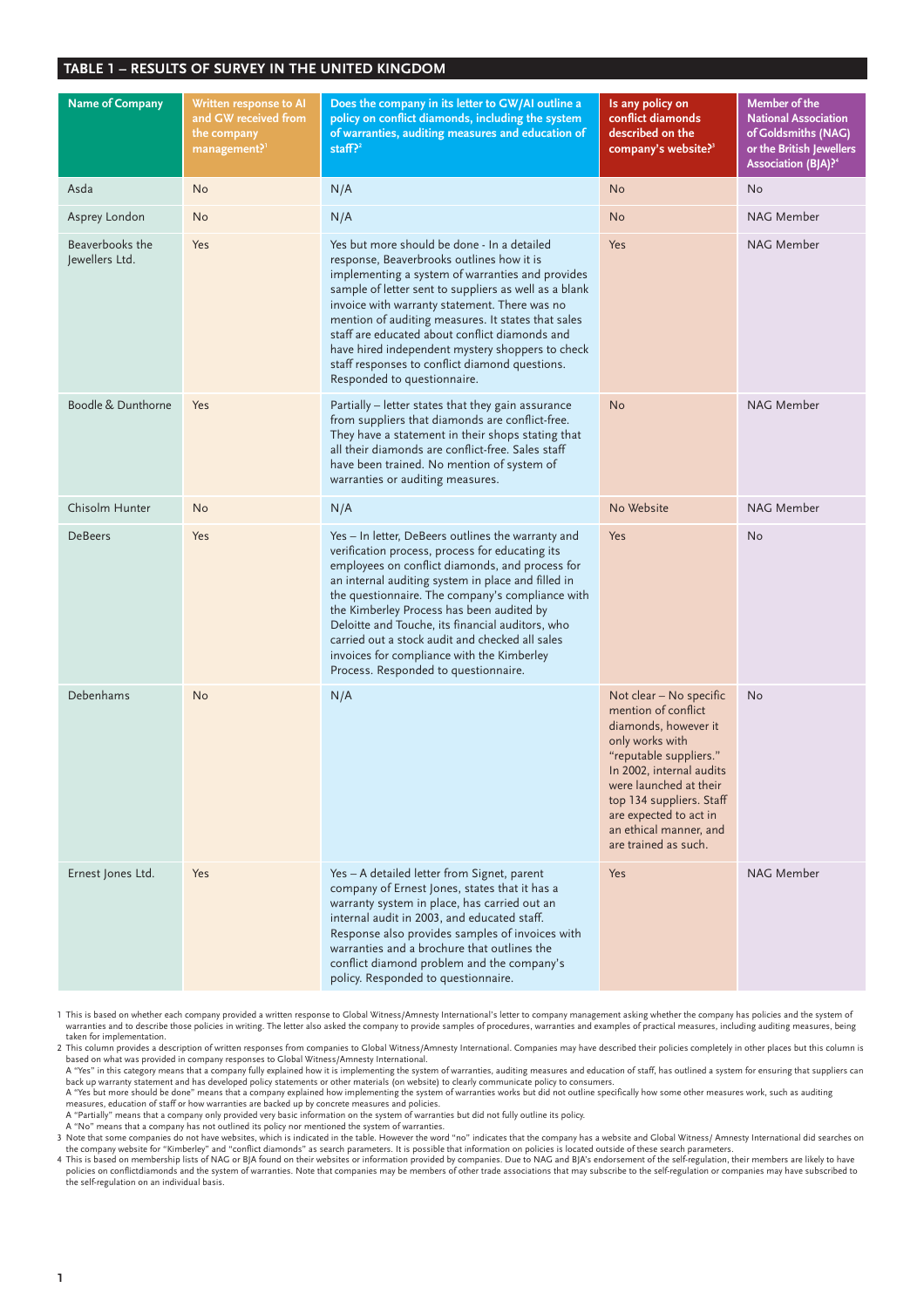# **TABLE 1 – RESULTS OF SURVEY IN THE UNITED KINGDOM**

| <b>Name of Company</b>            | Written response to Al<br>and GW received from<br>the company<br>management? <sup>1</sup> | Does the company in its letter to GW/AI outline a<br>policy on conflict diamonds, including the system<br>of warranties, auditing measures and education of<br>staff? $2^2$                                                                                                                                                                                                                                                                                                                                  | Is any policy on<br>conflict diamonds<br>described on the<br>company's website? <sup>3</sup>                                                                                                                                                                                      | <b>Member of the</b><br><b>National Association</b><br>of Goldsmiths (NAG)<br>or the British Jewellers<br>Association (BJA)? <sup>4</sup> |
|-----------------------------------|-------------------------------------------------------------------------------------------|--------------------------------------------------------------------------------------------------------------------------------------------------------------------------------------------------------------------------------------------------------------------------------------------------------------------------------------------------------------------------------------------------------------------------------------------------------------------------------------------------------------|-----------------------------------------------------------------------------------------------------------------------------------------------------------------------------------------------------------------------------------------------------------------------------------|-------------------------------------------------------------------------------------------------------------------------------------------|
| Asda                              | <b>No</b>                                                                                 | N/A                                                                                                                                                                                                                                                                                                                                                                                                                                                                                                          | <b>No</b>                                                                                                                                                                                                                                                                         | <b>No</b>                                                                                                                                 |
| Asprey London                     | No                                                                                        | N/A                                                                                                                                                                                                                                                                                                                                                                                                                                                                                                          | <b>No</b>                                                                                                                                                                                                                                                                         | NAG Member                                                                                                                                |
| Beaverbooks the<br>Jewellers Ltd. | Yes                                                                                       | Yes but more should be done - In a detailed<br>response, Beaverbrooks outlines how it is<br>implementing a system of warranties and provides<br>sample of letter sent to suppliers as well as a blank<br>invoice with warranty statement. There was no<br>mention of auditing measures. It states that sales<br>staff are educated about conflict diamonds and<br>have hired independent mystery shoppers to check<br>staff responses to conflict diamond questions.<br>Responded to questionnaire.          | Yes                                                                                                                                                                                                                                                                               | NAG Member                                                                                                                                |
| Boodle & Dunthorne                | Yes                                                                                       | Partially - letter states that they gain assurance<br>from suppliers that diamonds are conflict-free.<br>They have a statement in their shops stating that<br>all their diamonds are conflict-free. Sales staff<br>have been trained. No mention of system of<br>warranties or auditing measures.                                                                                                                                                                                                            | <b>No</b>                                                                                                                                                                                                                                                                         | NAG Member                                                                                                                                |
| Chisolm Hunter                    | <b>No</b>                                                                                 | N/A                                                                                                                                                                                                                                                                                                                                                                                                                                                                                                          | No Website                                                                                                                                                                                                                                                                        | NAG Member                                                                                                                                |
| <b>DeBeers</b>                    | Yes                                                                                       | Yes - In letter, DeBeers outlines the warranty and<br>verification process, process for educating its<br>employees on conflict diamonds, and process for<br>an internal auditing system in place and filled in<br>the questionnaire. The company's compliance with<br>the Kimberley Process has been audited by<br>Deloitte and Touche, its financial auditors, who<br>carried out a stock audit and checked all sales<br>invoices for compliance with the Kimberley<br>Process. Responded to questionnaire. | Yes                                                                                                                                                                                                                                                                               | <b>No</b>                                                                                                                                 |
| Debenhams                         | <b>No</b>                                                                                 | N/A                                                                                                                                                                                                                                                                                                                                                                                                                                                                                                          | Not clear - No specific<br>mention of conflict<br>diamonds, however it<br>only works with<br>"reputable suppliers."<br>In 2002, internal audits<br>were launched at their<br>top 134 suppliers. Staff<br>are expected to act in<br>an ethical manner, and<br>are trained as such. | <b>No</b>                                                                                                                                 |
| Ernest Jones Ltd.                 | Yes                                                                                       | Yes - A detailed letter from Signet, parent<br>company of Ernest Jones, states that it has a<br>warranty system in place, has carried out an<br>internal audit in 2003, and educated staff.<br>Response also provides samples of invoices with<br>warranties and a brochure that outlines the<br>conflict diamond problem and the company's<br>policy. Responded to questionnaire.                                                                                                                           | Yes                                                                                                                                                                                                                                                                               | NAG Member                                                                                                                                |

1 This is based on whether each company provided a written response to Global Witness/Amnesty International's letter to company management asking whether the company has policies and the system of<br>warranties and to describ taken for implementation.

2 This column provides a description of written responses from companies to Global Witness/Amnesty International. Companies may have described their policies completely in other places but this column is<br>based on what was

A "Yes" in this category means that a company fully explained how it is implementing the system of warranties, auditing measures and education of staff, has outlined a system for ensuring that suppliers can<br>back up warrant

A "Yes but more should be done" means that a company explained how implementing the system of warranties works but did not outline specifically how some other measures work, such as auditing<br>measures, education of staff or A "Partially" means that a company only provided very basic information on the system of warranties but did not fully outline its policy.

A "No" means that a company has not outlined its policy nor mentioned the system of warranties.<br>3 Note that some companies do not have websites, which is indicated in the table. However the word "no" indicates that the com

the company website for "Kimberley" and "conflict diamonds" as search parameters. It is possible that information on policies is located outside of these search parameters.<br>4 This is based on membership lists of NAG or BJA policies on conflictdiamonds and the system of warranties. Note that companies may be members of other trade associations that may subscribe to the self-regulation or companies may have subscribed to<br>the self-regulation on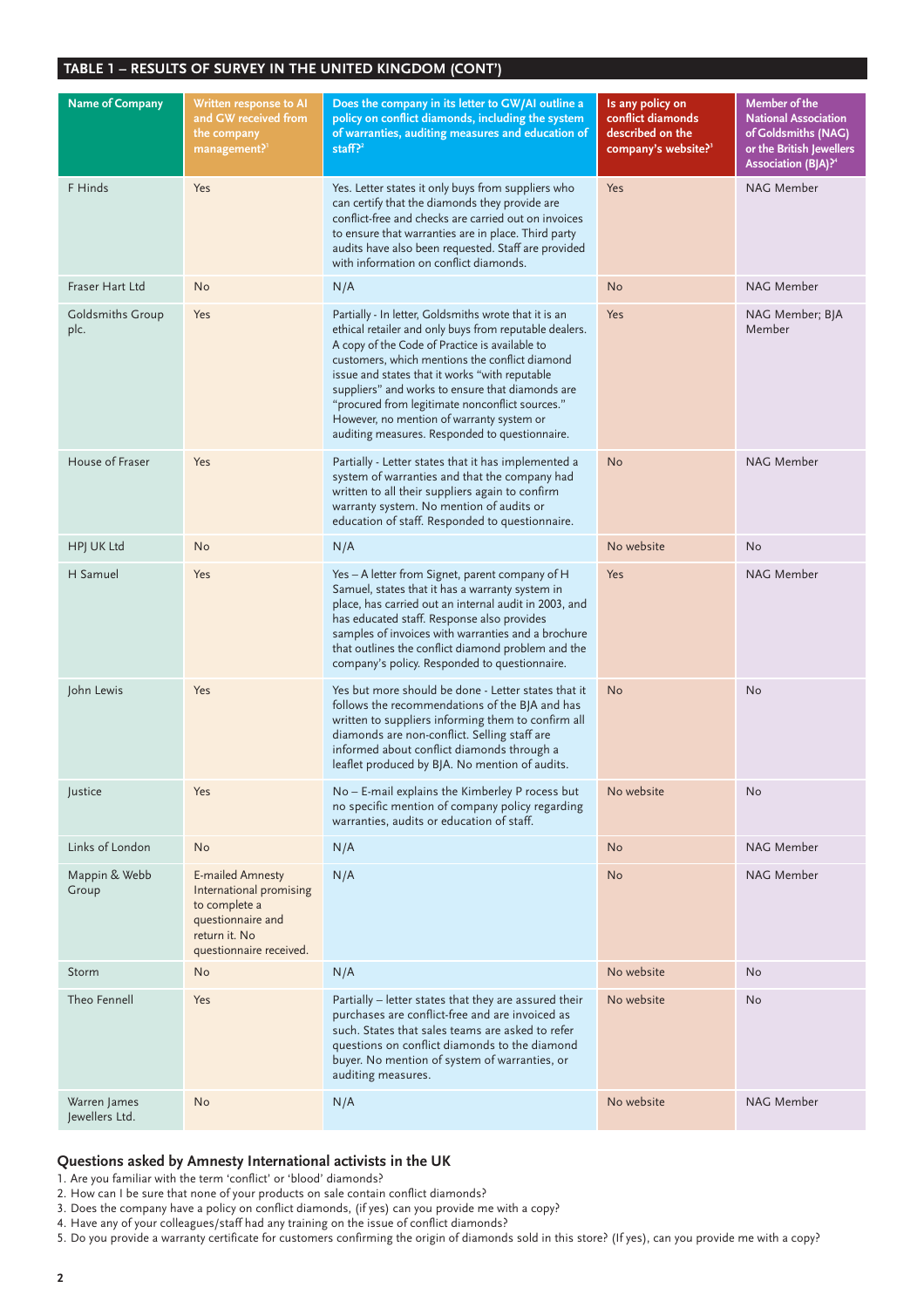#### **TABLE 1 – RESULTS OF SURVEY IN THE UNITED KINGDOM (CONT')**

| <b>Name of Company</b>          | Written response to AI<br>and GW received from<br>the company<br>management? <sup>1</sup>                                            | Does the company in its letter to GW/AI outline a<br>policy on conflict diamonds, including the system<br>of warranties, auditing measures and education of<br>staff? $2^2$                                                                                                                                                                                                                                                                                                 | Is any policy on<br>conflict diamonds<br>described on the<br>company's website? <sup>3</sup> | <b>Member of the</b><br><b>National Association</b><br>of Goldsmiths (NAG)<br>or the British Jewellers<br>Association (BJA)? <sup>4</sup> |
|---------------------------------|--------------------------------------------------------------------------------------------------------------------------------------|-----------------------------------------------------------------------------------------------------------------------------------------------------------------------------------------------------------------------------------------------------------------------------------------------------------------------------------------------------------------------------------------------------------------------------------------------------------------------------|----------------------------------------------------------------------------------------------|-------------------------------------------------------------------------------------------------------------------------------------------|
| F Hinds                         | Yes                                                                                                                                  | Yes. Letter states it only buys from suppliers who<br>can certify that the diamonds they provide are<br>conflict-free and checks are carried out on invoices<br>to ensure that warranties are in place. Third party<br>audits have also been requested. Staff are provided<br>with information on conflict diamonds.                                                                                                                                                        | Yes                                                                                          | NAG Member                                                                                                                                |
| Fraser Hart Ltd                 | <b>No</b>                                                                                                                            | N/A                                                                                                                                                                                                                                                                                                                                                                                                                                                                         | No                                                                                           | NAG Member                                                                                                                                |
| <b>Goldsmiths Group</b><br>plc. | Yes                                                                                                                                  | Partially - In letter, Goldsmiths wrote that it is an<br>ethical retailer and only buys from reputable dealers.<br>A copy of the Code of Practice is available to<br>customers, which mentions the conflict diamond<br>issue and states that it works "with reputable<br>suppliers" and works to ensure that diamonds are<br>"procured from legitimate nonconflict sources."<br>However, no mention of warranty system or<br>auditing measures. Responded to questionnaire. | Yes                                                                                          | NAG Member; BJA<br>Member                                                                                                                 |
| House of Fraser                 | Yes                                                                                                                                  | Partially - Letter states that it has implemented a<br>system of warranties and that the company had<br>written to all their suppliers again to confirm<br>warranty system. No mention of audits or<br>education of staff. Responded to questionnaire.                                                                                                                                                                                                                      | <b>No</b>                                                                                    | NAG Member                                                                                                                                |
| HPJ UK Ltd                      | <b>No</b>                                                                                                                            | N/A                                                                                                                                                                                                                                                                                                                                                                                                                                                                         | No website                                                                                   | <b>No</b>                                                                                                                                 |
| H Samuel                        | Yes                                                                                                                                  | Yes - A letter from Signet, parent company of H<br>Samuel, states that it has a warranty system in<br>place, has carried out an internal audit in 2003, and<br>has educated staff. Response also provides<br>samples of invoices with warranties and a brochure<br>that outlines the conflict diamond problem and the<br>company's policy. Responded to questionnaire.                                                                                                      | Yes                                                                                          | NAG Member                                                                                                                                |
| John Lewis                      | Yes                                                                                                                                  | Yes but more should be done - Letter states that it<br>follows the recommendations of the BJA and has<br>written to suppliers informing them to confirm all<br>diamonds are non-conflict. Selling staff are<br>informed about conflict diamonds through a<br>leaflet produced by BJA. No mention of audits.                                                                                                                                                                 | <b>No</b>                                                                                    | <b>No</b>                                                                                                                                 |
| Justice                         | Yes                                                                                                                                  | No - E-mail explains the Kimberley P rocess but<br>no specific mention of company policy regarding<br>warranties, audits or education of staff.                                                                                                                                                                                                                                                                                                                             | No website                                                                                   | No                                                                                                                                        |
| Links of London                 | <b>No</b>                                                                                                                            | N/A                                                                                                                                                                                                                                                                                                                                                                                                                                                                         | No                                                                                           | NAG Member                                                                                                                                |
| Mappin & Webb<br>Group          | <b>E-mailed Amnesty</b><br>International promising<br>to complete a<br>questionnaire and<br>return it. No<br>questionnaire received. | N/A                                                                                                                                                                                                                                                                                                                                                                                                                                                                         | <b>No</b>                                                                                    | NAG Member                                                                                                                                |
| Storm                           | <b>No</b>                                                                                                                            | N/A                                                                                                                                                                                                                                                                                                                                                                                                                                                                         | No website                                                                                   | <b>No</b>                                                                                                                                 |
| Theo Fennell                    | Yes                                                                                                                                  | Partially - letter states that they are assured their<br>purchases are conflict-free and are invoiced as<br>such. States that sales teams are asked to refer<br>questions on conflict diamonds to the diamond<br>buyer. No mention of system of warranties, or<br>auditing measures.                                                                                                                                                                                        | No website                                                                                   | <b>No</b>                                                                                                                                 |
| Warren James<br>Jewellers Ltd.  | No                                                                                                                                   | N/A                                                                                                                                                                                                                                                                                                                                                                                                                                                                         | No website                                                                                   | NAG Member                                                                                                                                |

#### **Questions asked by Amnesty International activists in the UK**

1. Are you familiar with the term 'conflict' or 'blood' diamonds?

2. How can I be sure that none of your products on sale contain conflict diamonds?

3. Does the company have a policy on conflict diamonds, (if yes) can you provide me with a copy?

4. Have any of your colleagues/staff had any training on the issue of conflict diamonds?

5. Do you provide a warranty certificate for customers confirming the origin of diamonds sold in this store? (If yes), can you provide me with a copy?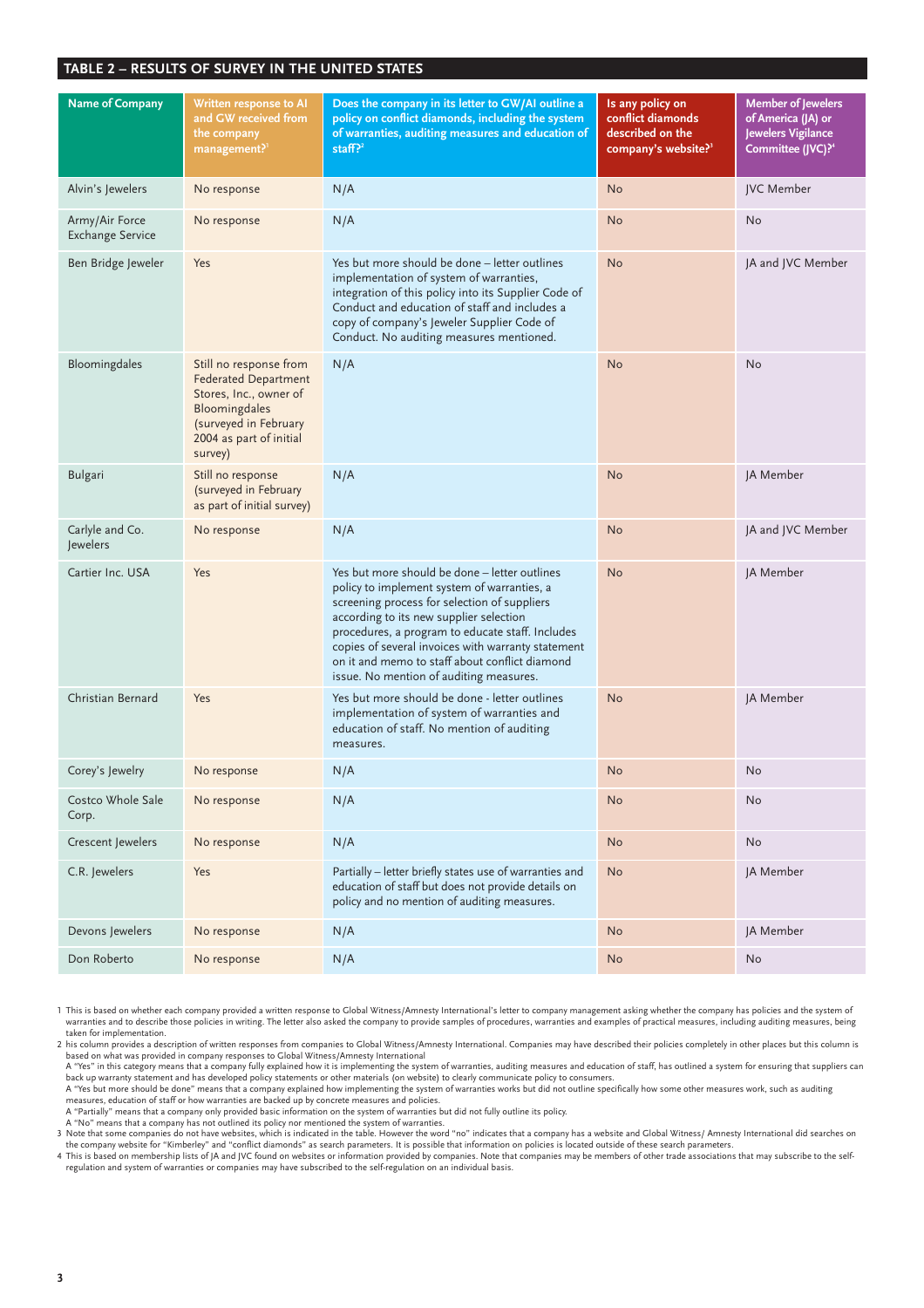| <b>Name of Company</b>                    | Written response to AI<br>and GW received from<br>the company<br>management? <sup>1</sup>                                                                       | Does the company in its letter to GW/AI outline a<br>policy on conflict diamonds, including the system<br>of warranties, auditing measures and education of<br>staff? $2^2$                                                                                                                                                                                                                    | Is any policy on<br>conflict diamonds<br>described on the<br>company's website? <sup>3</sup> | <b>Member of Jewelers</b><br>of America (JA) or<br>Jewelers Vigilance<br>Committee (JVC)? <sup>4</sup> |
|-------------------------------------------|-----------------------------------------------------------------------------------------------------------------------------------------------------------------|------------------------------------------------------------------------------------------------------------------------------------------------------------------------------------------------------------------------------------------------------------------------------------------------------------------------------------------------------------------------------------------------|----------------------------------------------------------------------------------------------|--------------------------------------------------------------------------------------------------------|
| Alvin's Jewelers                          | No response                                                                                                                                                     | N/A                                                                                                                                                                                                                                                                                                                                                                                            | <b>No</b>                                                                                    | <b>IVC</b> Member                                                                                      |
| Army/Air Force<br><b>Exchange Service</b> | No response                                                                                                                                                     | N/A                                                                                                                                                                                                                                                                                                                                                                                            | <b>No</b>                                                                                    | <b>No</b>                                                                                              |
| Ben Bridge Jeweler                        | Yes                                                                                                                                                             | Yes but more should be done – letter outlines<br>implementation of system of warranties,<br>integration of this policy into its Supplier Code of<br>Conduct and education of staff and includes a<br>copy of company's Jeweler Supplier Code of<br>Conduct. No auditing measures mentioned.                                                                                                    | <b>No</b>                                                                                    | JA and JVC Member                                                                                      |
| Bloomingdales                             | Still no response from<br><b>Federated Department</b><br>Stores, Inc., owner of<br>Bloomingdales<br>(surveyed in February<br>2004 as part of initial<br>survey) | N/A                                                                                                                                                                                                                                                                                                                                                                                            | <b>No</b>                                                                                    | No                                                                                                     |
| <b>Bulgari</b>                            | Still no response<br>(surveyed in February<br>as part of initial survey)                                                                                        | N/A                                                                                                                                                                                                                                                                                                                                                                                            | <b>No</b>                                                                                    | JA Member                                                                                              |
| Carlyle and Co.<br>Jewelers               | No response                                                                                                                                                     | N/A                                                                                                                                                                                                                                                                                                                                                                                            | <b>No</b>                                                                                    | JA and JVC Member                                                                                      |
| Cartier Inc. USA                          | Yes                                                                                                                                                             | Yes but more should be done - letter outlines<br>policy to implement system of warranties, a<br>screening process for selection of suppliers<br>according to its new supplier selection<br>procedures, a program to educate staff. Includes<br>copies of several invoices with warranty statement<br>on it and memo to staff about conflict diamond<br>issue. No mention of auditing measures. | <b>No</b>                                                                                    | JA Member                                                                                              |
| Christian Bernard                         | Yes                                                                                                                                                             | Yes but more should be done - letter outlines<br>implementation of system of warranties and<br>education of staff. No mention of auditing<br>measures.                                                                                                                                                                                                                                         | <b>No</b>                                                                                    | JA Member                                                                                              |
| Corey's Jewelry                           | No response                                                                                                                                                     | N/A                                                                                                                                                                                                                                                                                                                                                                                            | <b>No</b>                                                                                    | <b>No</b>                                                                                              |
| Costco Whole Sale<br>Corp.                | No response                                                                                                                                                     | N/A                                                                                                                                                                                                                                                                                                                                                                                            | No                                                                                           | No                                                                                                     |
| Crescent Jewelers                         | No response                                                                                                                                                     | N/A                                                                                                                                                                                                                                                                                                                                                                                            | <b>No</b>                                                                                    | No                                                                                                     |
| C.R. Jewelers                             | Yes                                                                                                                                                             | Partially - letter briefly states use of warranties and<br>education of staff but does not provide details on<br>policy and no mention of auditing measures.                                                                                                                                                                                                                                   | <b>No</b>                                                                                    | JA Member                                                                                              |
| Devons Jewelers                           | No response                                                                                                                                                     | N/A                                                                                                                                                                                                                                                                                                                                                                                            | <b>No</b>                                                                                    | JA Member                                                                                              |
| Don Roberto                               | No response                                                                                                                                                     | N/A                                                                                                                                                                                                                                                                                                                                                                                            | No                                                                                           | No                                                                                                     |

1 This is based on whether each company provided a written response to Global Witness/Amnesty International's letter to company management asking whether the company has policies and the system of warranties and to describe those policies in writing. The letter also asked the company to provide samples of procedures, warranties and examples of practical measures, including auditing measures, being taken for implementation.

2 his column provides a description of written responses from companies to Global Witness/Amnesty International. Companies may have described their policies completely in other places but this column is<br>based on what was p

A "Yes" in this category means that a company fully explained how it is implementing the system of warranties, auditing measures and education of staff, has outlined a system for ensuring that suppliers can<br>back up warrant

A "Yes but more should be done" means that a company explained how implementing the system of warranties works but did not outline specifically how some other measures work, such as auditing<br>measures, education of staff or

A "Partially" means that a company only provided basic information on the system of warranties but did not fully outline its policy.

A "No" means that a company has not outlined its policy nor mentioned the system of warranties.<br>3 Note that some companies do not have websites, which is indicated in the table. However the word "no" indicates that a compa

the company website for "Kimberley" and "conflict diamonds" as search parameters. It is possible that information on policies is located outside of these search parameters.<br>4 This is based on membership lists of JA and JVC regulation and system of warranties or companies may have subscribed to the self-regulation on an individual basis.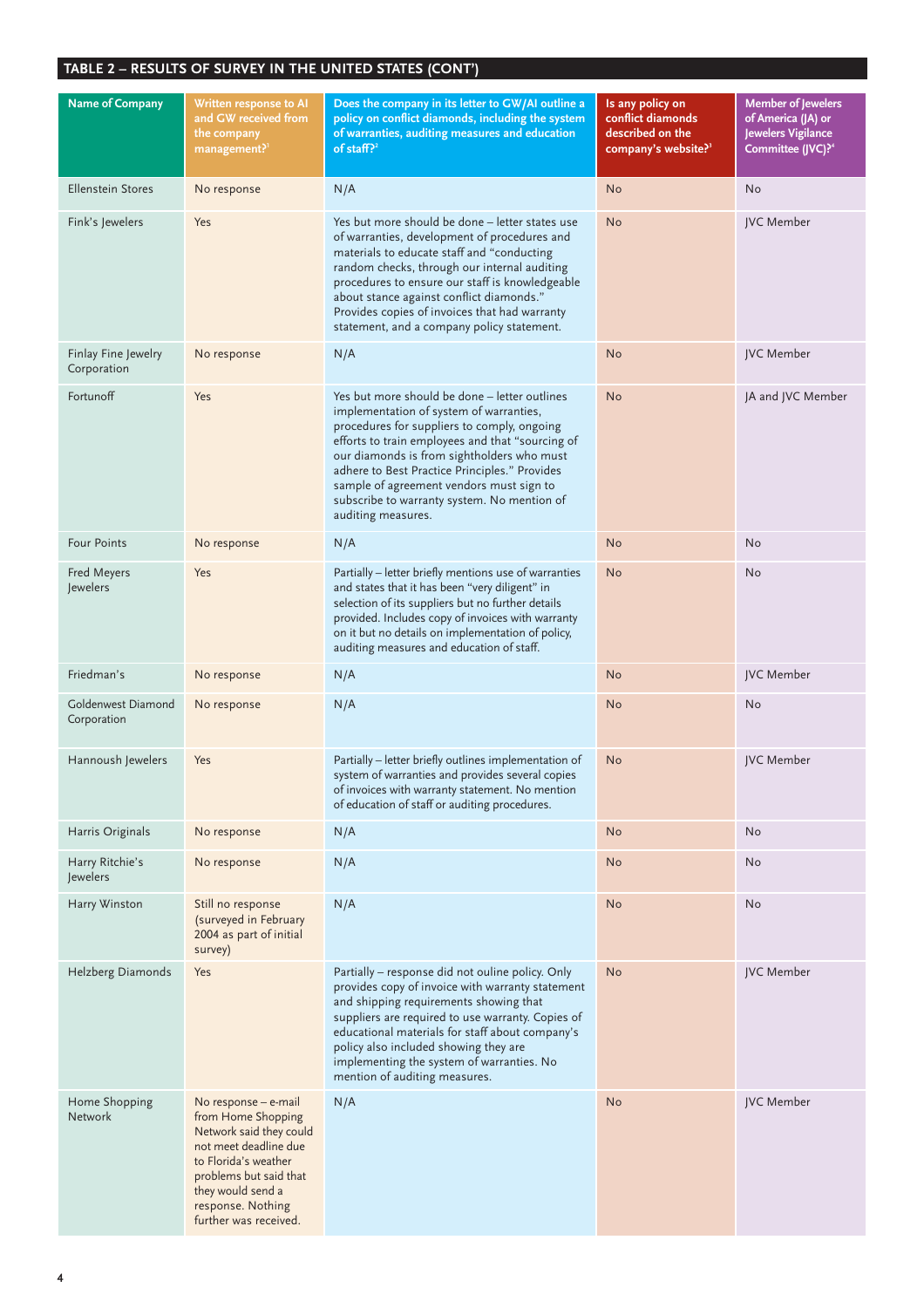| <b>Name of Company</b>             | Written response to AI<br>and GW received from<br>the company<br>management?1                                                                                                                                       | Does the company in its letter to GW/AI outline a<br>policy on conflict diamonds, including the system<br>of warranties, auditing measures and education<br>of staff? $2^2$                                                                                                                                                                                                                                 | Is any policy on<br>conflict diamonds<br>described on the<br>company's website? <sup>3</sup> | <b>Member of Jewelers</b><br>of America (JA) or<br>Jewelers Vigilance<br>Committee (JVC)? <sup>4</sup> |
|------------------------------------|---------------------------------------------------------------------------------------------------------------------------------------------------------------------------------------------------------------------|-------------------------------------------------------------------------------------------------------------------------------------------------------------------------------------------------------------------------------------------------------------------------------------------------------------------------------------------------------------------------------------------------------------|----------------------------------------------------------------------------------------------|--------------------------------------------------------------------------------------------------------|
| <b>Ellenstein Stores</b>           | No response                                                                                                                                                                                                         | N/A                                                                                                                                                                                                                                                                                                                                                                                                         | <b>No</b>                                                                                    | No                                                                                                     |
| Fink's Jewelers                    | Yes                                                                                                                                                                                                                 | Yes but more should be done - letter states use<br>of warranties, development of procedures and<br>materials to educate staff and "conducting<br>random checks, through our internal auditing<br>procedures to ensure our staff is knowledgeable<br>about stance against conflict diamonds."<br>Provides copies of invoices that had warranty<br>statement, and a company policy statement.                 | <b>No</b>                                                                                    | JVC Member                                                                                             |
| Finlay Fine Jewelry<br>Corporation | No response                                                                                                                                                                                                         | N/A                                                                                                                                                                                                                                                                                                                                                                                                         | <b>No</b>                                                                                    | JVC Member                                                                                             |
| Fortunoff                          | Yes                                                                                                                                                                                                                 | Yes but more should be done - letter outlines<br>implementation of system of warranties,<br>procedures for suppliers to comply, ongoing<br>efforts to train employees and that "sourcing of<br>our diamonds is from sightholders who must<br>adhere to Best Practice Principles." Provides<br>sample of agreement vendors must sign to<br>subscribe to warranty system. No mention of<br>auditing measures. | <b>No</b>                                                                                    | JA and JVC Member                                                                                      |
| <b>Four Points</b>                 | No response                                                                                                                                                                                                         | N/A                                                                                                                                                                                                                                                                                                                                                                                                         | <b>No</b>                                                                                    | No                                                                                                     |
| Fred Meyers<br>Jewelers            | Yes                                                                                                                                                                                                                 | Partially - letter briefly mentions use of warranties<br>and states that it has been "very diligent" in<br>selection of its suppliers but no further details<br>provided. Includes copy of invoices with warranty<br>on it but no details on implementation of policy,<br>auditing measures and education of staff.                                                                                         | <b>No</b>                                                                                    | No                                                                                                     |
| Friedman's                         | No response                                                                                                                                                                                                         | N/A                                                                                                                                                                                                                                                                                                                                                                                                         | <b>No</b>                                                                                    | JVC Member                                                                                             |
| Goldenwest Diamond<br>Corporation  | No response                                                                                                                                                                                                         | N/A                                                                                                                                                                                                                                                                                                                                                                                                         | No                                                                                           | No                                                                                                     |
| Hannoush Jewelers                  | Yes                                                                                                                                                                                                                 | Partially - letter briefly outlines implementation of<br>system of warranties and provides several copies<br>of invoices with warranty statement. No mention<br>of education of staff or auditing procedures.                                                                                                                                                                                               | No                                                                                           | JVC Member                                                                                             |
| Harris Originals                   | No response                                                                                                                                                                                                         | N/A                                                                                                                                                                                                                                                                                                                                                                                                         | <b>No</b>                                                                                    | No                                                                                                     |
| Harry Ritchie's<br>Jewelers        | No response                                                                                                                                                                                                         | N/A                                                                                                                                                                                                                                                                                                                                                                                                         | <b>No</b>                                                                                    | No                                                                                                     |
| Harry Winston                      | Still no response<br>(surveyed in February<br>2004 as part of initial<br>survey)                                                                                                                                    | N/A                                                                                                                                                                                                                                                                                                                                                                                                         | <b>No</b>                                                                                    | No                                                                                                     |
| Helzberg Diamonds                  | Yes                                                                                                                                                                                                                 | Partially - response did not ouline policy. Only<br>provides copy of invoice with warranty statement<br>and shipping requirements showing that<br>suppliers are required to use warranty. Copies of<br>educational materials for staff about company's<br>policy also included showing they are<br>implementing the system of warranties. No<br>mention of auditing measures.                               | <b>No</b>                                                                                    | JVC Member                                                                                             |
| Home Shopping<br><b>Network</b>    | No response - e-mail<br>from Home Shopping<br>Network said they could<br>not meet deadline due<br>to Florida's weather<br>problems but said that<br>they would send a<br>response. Nothing<br>further was received. | N/A                                                                                                                                                                                                                                                                                                                                                                                                         | <b>No</b>                                                                                    | JVC Member                                                                                             |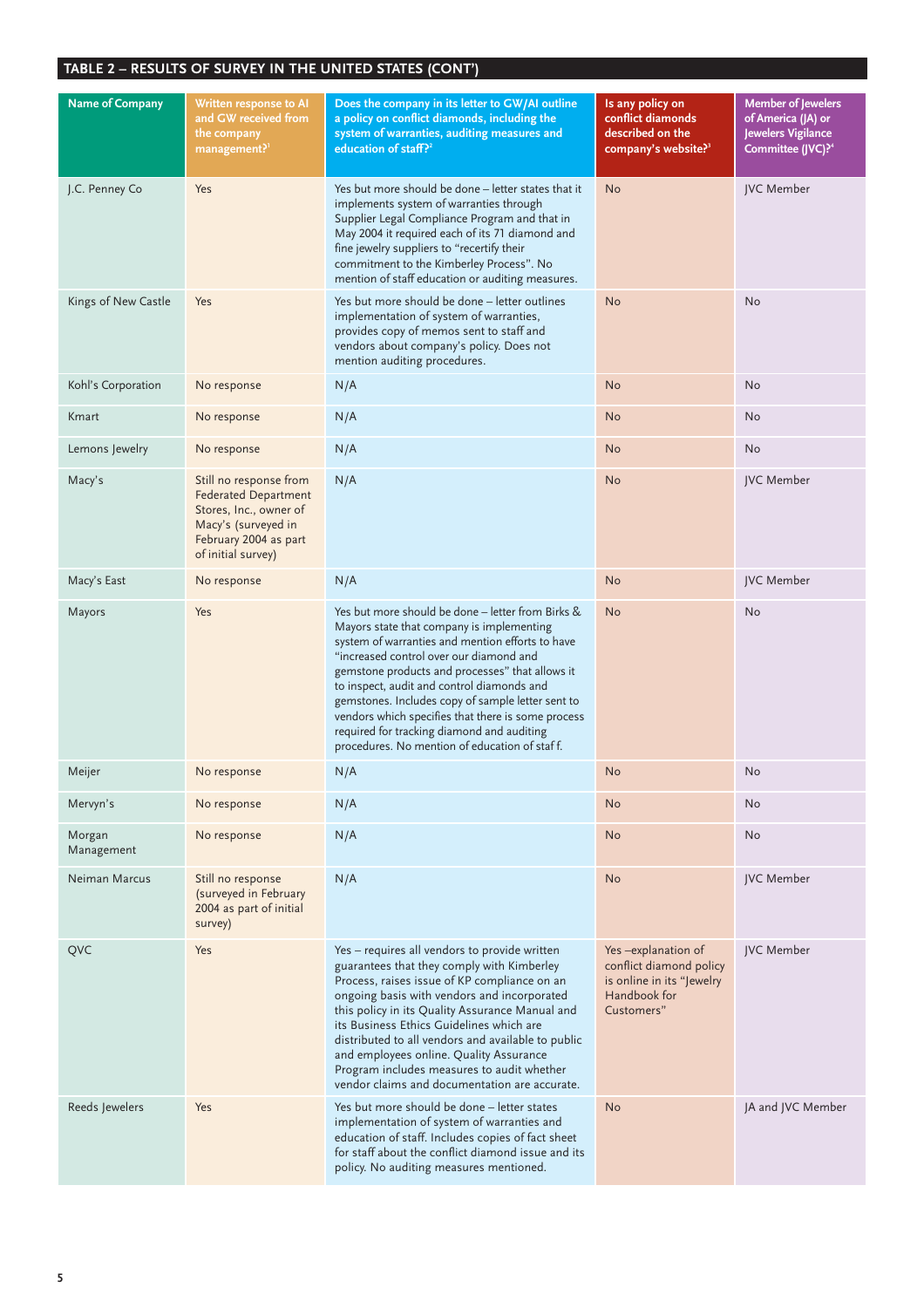| <b>Name of Company</b> | Written response to AI<br>and GW received from<br>the company<br>management? <sup>1</sup>                                                             | Does the company in its letter to GW/AI outline<br>a policy on conflict diamonds, including the<br>system of warranties, auditing measures and<br>education of staff? <sup>2</sup>                                                                                                                                                                                                                                                                                                                       | Is any policy on<br>conflict diamonds<br>described on the<br>company's website? <sup>3</sup>             | <b>Member of Jewelers</b><br>of America (JA) or<br>Jewelers Vigilance<br>Committee (JVC)? <sup>4</sup> |
|------------------------|-------------------------------------------------------------------------------------------------------------------------------------------------------|----------------------------------------------------------------------------------------------------------------------------------------------------------------------------------------------------------------------------------------------------------------------------------------------------------------------------------------------------------------------------------------------------------------------------------------------------------------------------------------------------------|----------------------------------------------------------------------------------------------------------|--------------------------------------------------------------------------------------------------------|
| J.C. Penney Co         | Yes                                                                                                                                                   | Yes but more should be done - letter states that it<br>implements system of warranties through<br>Supplier Legal Compliance Program and that in<br>May 2004 it required each of its 71 diamond and<br>fine jewelry suppliers to "recertify their<br>commitment to the Kimberley Process". No<br>mention of staff education or auditing measures.                                                                                                                                                         | <b>No</b>                                                                                                | <b>JVC</b> Member                                                                                      |
| Kings of New Castle    | Yes                                                                                                                                                   | Yes but more should be done – letter outlines<br>implementation of system of warranties,<br>provides copy of memos sent to staff and<br>vendors about company's policy. Does not<br>mention auditing procedures.                                                                                                                                                                                                                                                                                         | <b>No</b>                                                                                                | No                                                                                                     |
| Kohl's Corporation     | No response                                                                                                                                           | N/A                                                                                                                                                                                                                                                                                                                                                                                                                                                                                                      | <b>No</b>                                                                                                | No                                                                                                     |
| Kmart                  | No response                                                                                                                                           | N/A                                                                                                                                                                                                                                                                                                                                                                                                                                                                                                      | <b>No</b>                                                                                                | <b>No</b>                                                                                              |
| Lemons Jewelry         | No response                                                                                                                                           | N/A                                                                                                                                                                                                                                                                                                                                                                                                                                                                                                      | <b>No</b>                                                                                                | No                                                                                                     |
| Macy's                 | Still no response from<br><b>Federated Department</b><br>Stores, Inc., owner of<br>Macy's (surveyed in<br>February 2004 as part<br>of initial survey) | N/A                                                                                                                                                                                                                                                                                                                                                                                                                                                                                                      | No                                                                                                       | <b>JVC</b> Member                                                                                      |
| Macy's East            | No response                                                                                                                                           | N/A                                                                                                                                                                                                                                                                                                                                                                                                                                                                                                      | <b>No</b>                                                                                                | JVC Member                                                                                             |
| Mayors                 | Yes                                                                                                                                                   | Yes but more should be done - letter from Birks &<br>Mayors state that company is implementing<br>system of warranties and mention efforts to have<br>"increased control over our diamond and<br>gemstone products and processes" that allows it<br>to inspect, audit and control diamonds and<br>gemstones. Includes copy of sample letter sent to<br>vendors which specifies that there is some process<br>required for tracking diamond and auditing<br>procedures. No mention of education of staff. | <b>No</b>                                                                                                | No                                                                                                     |
| Meijer                 | No response                                                                                                                                           | N/A                                                                                                                                                                                                                                                                                                                                                                                                                                                                                                      | No                                                                                                       | No                                                                                                     |
| Mervyn's               | No response                                                                                                                                           | N/A                                                                                                                                                                                                                                                                                                                                                                                                                                                                                                      | <b>No</b>                                                                                                | <b>No</b>                                                                                              |
| Morgan<br>Management   | No response                                                                                                                                           | N/A                                                                                                                                                                                                                                                                                                                                                                                                                                                                                                      | <b>No</b>                                                                                                | No                                                                                                     |
| Neiman Marcus          | Still no response<br>(surveyed in February<br>2004 as part of initial<br>survey)                                                                      | N/A                                                                                                                                                                                                                                                                                                                                                                                                                                                                                                      | <b>No</b>                                                                                                | JVC Member                                                                                             |
| QVC                    | <b>Yes</b>                                                                                                                                            | Yes - requires all vendors to provide written<br>guarantees that they comply with Kimberley<br>Process, raises issue of KP compliance on an<br>ongoing basis with vendors and incorporated<br>this policy in its Quality Assurance Manual and<br>its Business Ethics Guidelines which are<br>distributed to all vendors and available to public<br>and employees online. Quality Assurance<br>Program includes measures to audit whether<br>vendor claims and documentation are accurate.                | Yes-explanation of<br>conflict diamond policy<br>is online in its "Jewelry<br>Handbook for<br>Customers" | JVC Member                                                                                             |
| Reeds Jewelers         | Yes                                                                                                                                                   | Yes but more should be done - letter states<br>implementation of system of warranties and<br>education of staff. Includes copies of fact sheet<br>for staff about the conflict diamond issue and its<br>policy. No auditing measures mentioned.                                                                                                                                                                                                                                                          | <b>No</b>                                                                                                | JA and JVC Member                                                                                      |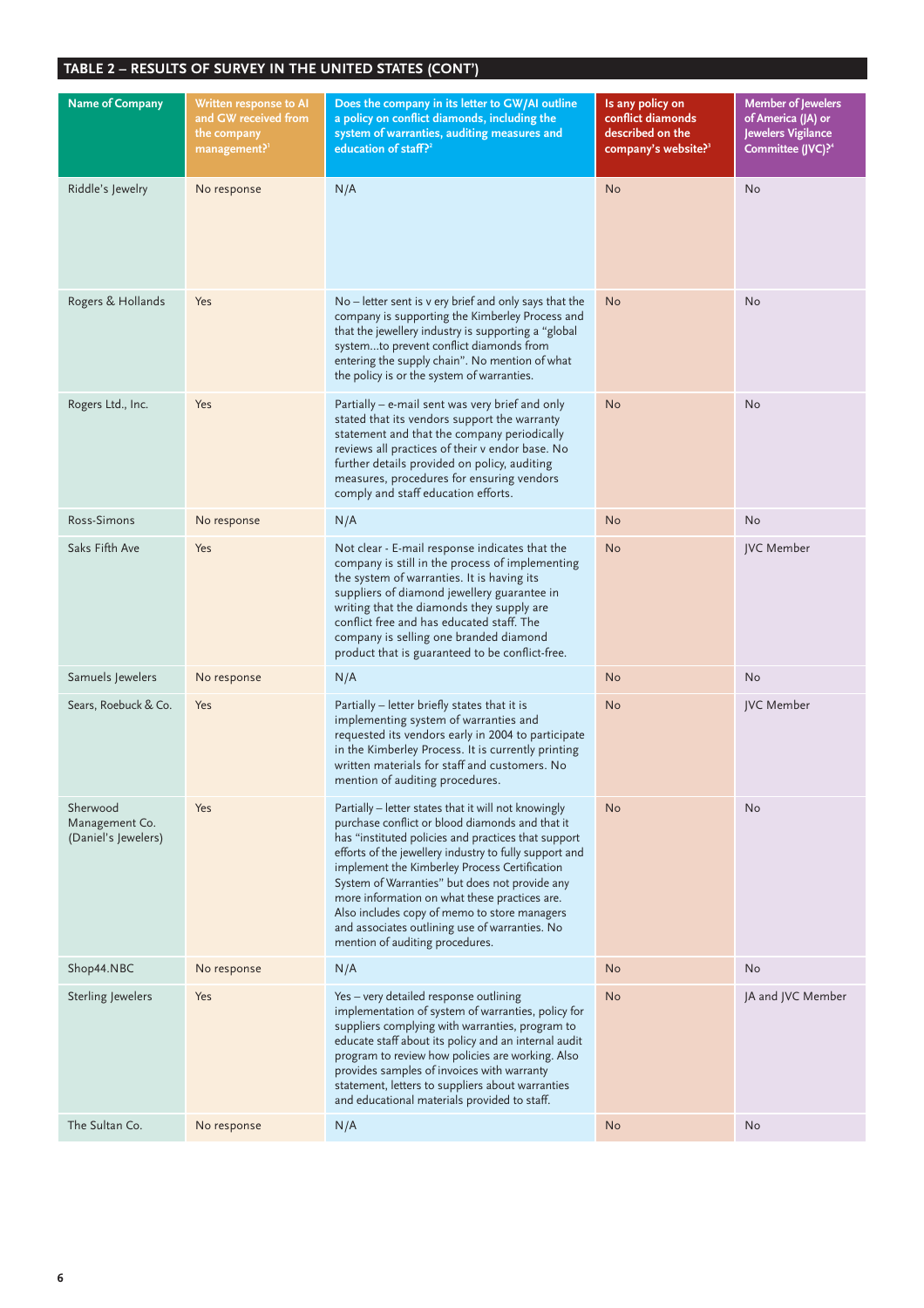| <b>Name of Company</b>                            | Written response to AI<br>and GW received from<br>the company<br>management? <sup>1</sup> | Does the company in its letter to GW/AI outline<br>a policy on conflict diamonds, including the<br>system of warranties, auditing measures and<br>education of staff? <sup>2</sup>                                                                                                                                                                                                                                                                                                                                | Is any policy on<br>conflict diamonds<br>described on the<br>company's website? <sup>3</sup> | <b>Member of Jewelers</b><br>of America (JA) or<br>Jewelers Vigilance<br>Committee (JVC)? <sup>4</sup> |
|---------------------------------------------------|-------------------------------------------------------------------------------------------|-------------------------------------------------------------------------------------------------------------------------------------------------------------------------------------------------------------------------------------------------------------------------------------------------------------------------------------------------------------------------------------------------------------------------------------------------------------------------------------------------------------------|----------------------------------------------------------------------------------------------|--------------------------------------------------------------------------------------------------------|
| Riddle's Jewelry                                  | No response                                                                               | N/A                                                                                                                                                                                                                                                                                                                                                                                                                                                                                                               | <b>No</b>                                                                                    | No                                                                                                     |
| Rogers & Hollands                                 | Yes                                                                                       | $No$ – letter sent is v ery brief and only says that the<br>company is supporting the Kimberley Process and<br>that the jewellery industry is supporting a "global<br>systemto prevent conflict diamonds from<br>entering the supply chain". No mention of what<br>the policy is or the system of warranties.                                                                                                                                                                                                     | <b>No</b>                                                                                    | No                                                                                                     |
| Rogers Ltd., Inc.                                 | Yes                                                                                       | Partially - e-mail sent was very brief and only<br>stated that its vendors support the warranty<br>statement and that the company periodically<br>reviews all practices of their v endor base. No<br>further details provided on policy, auditing<br>measures, procedures for ensuring vendors<br>comply and staff education efforts.                                                                                                                                                                             | No                                                                                           | No                                                                                                     |
| Ross-Simons                                       | No response                                                                               | N/A                                                                                                                                                                                                                                                                                                                                                                                                                                                                                                               | <b>No</b>                                                                                    | <b>No</b>                                                                                              |
| Saks Fifth Ave                                    | Yes                                                                                       | Not clear - E-mail response indicates that the<br>company is still in the process of implementing<br>the system of warranties. It is having its<br>suppliers of diamond jewellery guarantee in<br>writing that the diamonds they supply are<br>conflict free and has educated staff. The<br>company is selling one branded diamond<br>product that is guaranteed to be conflict-free.                                                                                                                             | <b>No</b>                                                                                    | JVC Member                                                                                             |
| Samuels Jewelers                                  | No response                                                                               | N/A                                                                                                                                                                                                                                                                                                                                                                                                                                                                                                               | <b>No</b>                                                                                    | No                                                                                                     |
| Sears, Roebuck & Co.                              | Yes                                                                                       | Partially - letter briefly states that it is<br>implementing system of warranties and<br>requested its vendors early in 2004 to participate<br>in the Kimberley Process. It is currently printing<br>written materials for staff and customers. No<br>mention of auditing procedures.                                                                                                                                                                                                                             | <b>No</b>                                                                                    | <b>JVC</b> Member                                                                                      |
| Sherwood<br>Management Co.<br>(Daniel's Jewelers) | Yes                                                                                       | Partially - letter states that it will not knowingly<br>purchase conflict or blood diamonds and that it<br>has "instituted policies and practices that support<br>efforts of the jewellery industry to fully support and<br>implement the Kimberley Process Certification<br>System of Warranties" but does not provide any<br>more information on what these practices are.<br>Also includes copy of memo to store managers<br>and associates outlining use of warranties. No<br>mention of auditing procedures. | <b>No</b>                                                                                    | <b>No</b>                                                                                              |
| Shop44.NBC                                        | No response                                                                               | N/A                                                                                                                                                                                                                                                                                                                                                                                                                                                                                                               | <b>No</b>                                                                                    | No                                                                                                     |
| Sterling Jewelers                                 | Yes                                                                                       | Yes - very detailed response outlining<br>implementation of system of warranties, policy for<br>suppliers complying with warranties, program to<br>educate staff about its policy and an internal audit<br>program to review how policies are working. Also<br>provides samples of invoices with warranty<br>statement, letters to suppliers about warranties<br>and educational materials provided to staff.                                                                                                     | <b>No</b>                                                                                    | JA and JVC Member                                                                                      |
| The Sultan Co.                                    | No response                                                                               | N/A                                                                                                                                                                                                                                                                                                                                                                                                                                                                                                               | <b>No</b>                                                                                    | No                                                                                                     |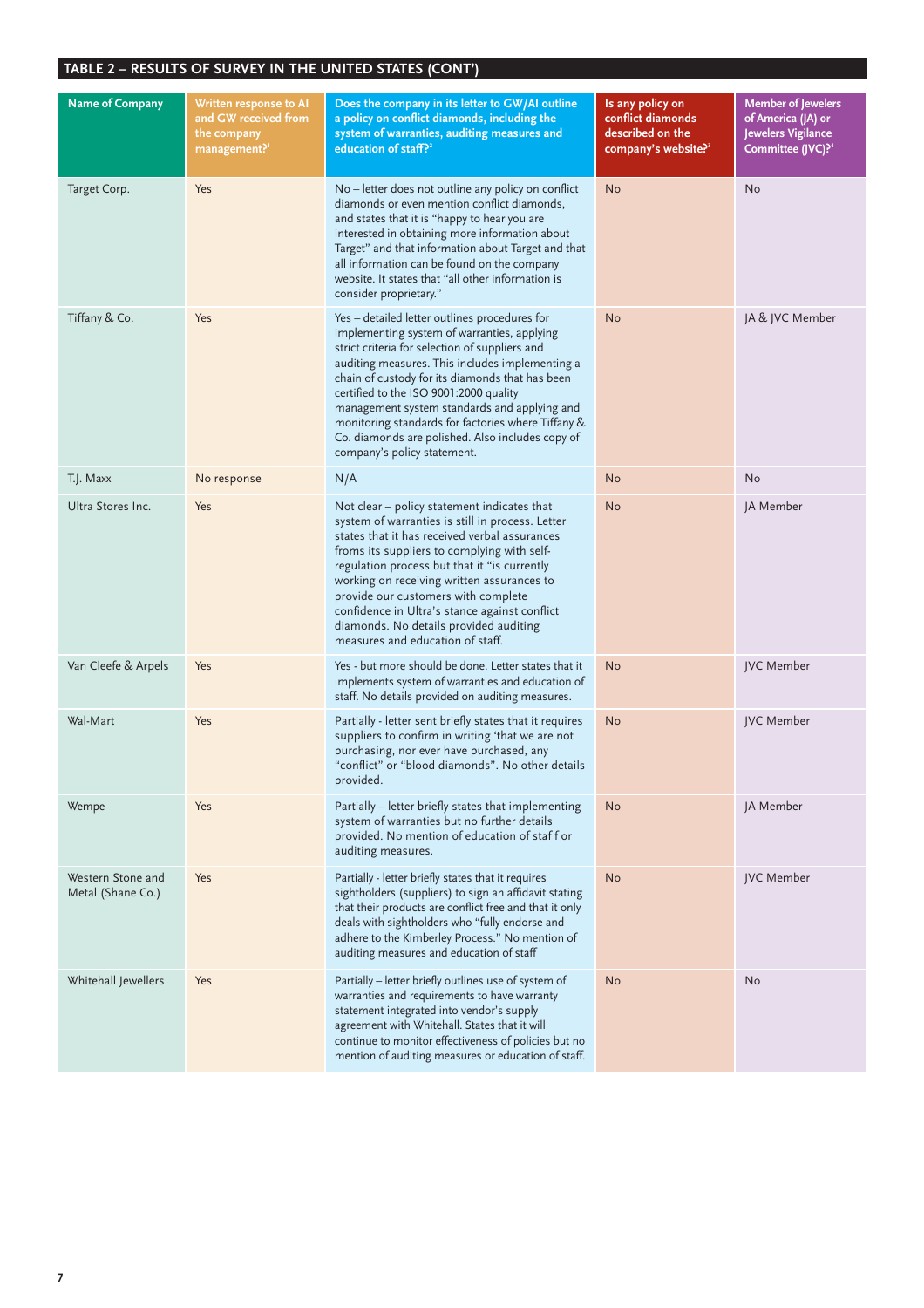| <b>Name of Company</b>                 | Written response to AI<br>and GW received from<br>the company<br>management? <sup>1</sup> | Does the company in its letter to GW/AI outline<br>a policy on conflict diamonds, including the<br>system of warranties, auditing measures and<br>education of staff? <sup>2</sup>                                                                                                                                                                                                                                                                                                      | Is any policy on<br>conflict diamonds<br>described on the<br>company's website? <sup>3</sup> | <b>Member of Jewelers</b><br>of America (JA) or<br>Jewelers Vigilance<br>Committee (JVC)? <sup>4</sup> |
|----------------------------------------|-------------------------------------------------------------------------------------------|-----------------------------------------------------------------------------------------------------------------------------------------------------------------------------------------------------------------------------------------------------------------------------------------------------------------------------------------------------------------------------------------------------------------------------------------------------------------------------------------|----------------------------------------------------------------------------------------------|--------------------------------------------------------------------------------------------------------|
| Target Corp.                           | Yes                                                                                       | No – letter does not outline any policy on conflict<br>diamonds or even mention conflict diamonds,<br>and states that it is "happy to hear you are<br>interested in obtaining more information about<br>Target" and that information about Target and that<br>all information can be found on the company<br>website. It states that "all other information is<br>consider proprietary."                                                                                                | <b>No</b>                                                                                    | No                                                                                                     |
| Tiffany & Co.                          | Yes                                                                                       | Yes - detailed letter outlines procedures for<br>implementing system of warranties, applying<br>strict criteria for selection of suppliers and<br>auditing measures. This includes implementing a<br>chain of custody for its diamonds that has been<br>certified to the ISO 9001:2000 quality<br>management system standards and applying and<br>monitoring standards for factories where Tiffany &<br>Co. diamonds are polished. Also includes copy of<br>company's policy statement. | <b>No</b>                                                                                    | JA & JVC Member                                                                                        |
| T.J. Maxx                              | No response                                                                               | N/A                                                                                                                                                                                                                                                                                                                                                                                                                                                                                     | <b>No</b>                                                                                    | No                                                                                                     |
| Ultra Stores Inc.                      | Yes                                                                                       | Not clear - policy statement indicates that<br>system of warranties is still in process. Letter<br>states that it has received verbal assurances<br>froms its suppliers to complying with self-<br>regulation process but that it "is currently<br>working on receiving written assurances to<br>provide our customers with complete<br>confidence in Ultra's stance against conflict<br>diamonds. No details provided auditing<br>measures and education of staff.                     | <b>No</b>                                                                                    | JA Member                                                                                              |
| Van Cleefe & Arpels                    | Yes                                                                                       | Yes - but more should be done. Letter states that it<br>implements system of warranties and education of<br>staff. No details provided on auditing measures.                                                                                                                                                                                                                                                                                                                            | <b>No</b>                                                                                    | JVC Member                                                                                             |
| Wal-Mart                               | Yes                                                                                       | Partially - letter sent briefly states that it requires<br>suppliers to confirm in writing 'that we are not<br>purchasing, nor ever have purchased, any<br>"conflict" or "blood diamonds". No other details<br>provided.                                                                                                                                                                                                                                                                | <b>No</b>                                                                                    | JVC Member                                                                                             |
| Wempe                                  | Yes                                                                                       | Partially - letter briefly states that implementing<br>system of warranties but no further details<br>provided. No mention of education of staff or<br>auditing measures.                                                                                                                                                                                                                                                                                                               | <b>No</b>                                                                                    | JA Member                                                                                              |
| Western Stone and<br>Metal (Shane Co.) | Yes                                                                                       | Partially - letter briefly states that it requires<br>sightholders (suppliers) to sign an affidavit stating<br>that their products are conflict free and that it only<br>deals with sightholders who "fully endorse and<br>adhere to the Kimberley Process." No mention of<br>auditing measures and education of staff                                                                                                                                                                  | <b>No</b>                                                                                    | JVC Member                                                                                             |
| Whitehall Jewellers                    | Yes                                                                                       | Partially - letter briefly outlines use of system of<br>warranties and requirements to have warranty<br>statement integrated into vendor's supply<br>agreement with Whitehall. States that it will<br>continue to monitor effectiveness of policies but no<br>mention of auditing measures or education of staff.                                                                                                                                                                       | <b>No</b>                                                                                    | No                                                                                                     |